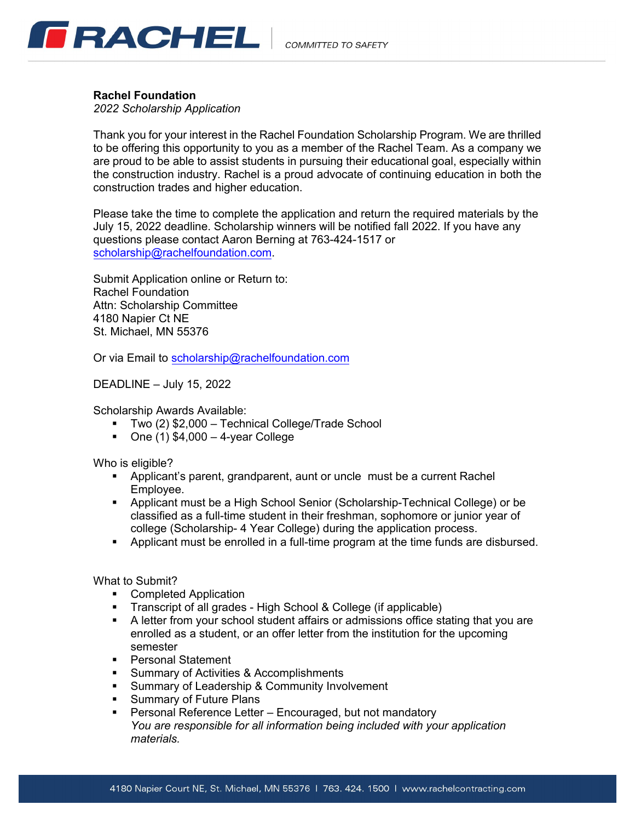

#### **Rachel Foundation**

*2022 Scholarship Application*

Thank you for your interest in the Rachel Foundation Scholarship Program. We are thrilled to be offering this opportunity to you as a member of the Rachel Team. As a company we are proud to be able to assist students in pursuing their educational goal, especially within the construction industry. Rachel is a proud advocate of continuing education in both the construction trades and higher education.

Please take the time to complete the application and return the required materials by the July 15, 2022 deadline. Scholarship winners will be notified fall 2022. If you have any questions please contact Aaron Berning at 763-424-1517 or scholarship@[rachelfoundation](mailto:asmith@rachelcontracting.com).com.

Submit Application online or Return to: Rachel Foundation Attn: Scholarship Committee 4180 Napier Ct NE St. Michael, MN 55376

Or via Email to [scholarship@rachelfoundation](mailto:asmith@rachelcontracting.com).com

DEADLINE – July 15, 2022

Scholarship Awards Available:

- Two (2) \$2,000 Technical College/Trade School
- One  $(1)$  \$4,000 4-year College

Who is eligible?

- Applicant's parent, grandparent, aunt or uncle must be a current Rachel Employee.
- Applicant must be a High School Senior (Scholarship-Technical College) or be classified as a full-time student in their freshman, sophomore or junior year of college (Scholarship- 4 Year College) during the application process.
- Applicant must be enrolled in a full-time program at the time funds are disbursed.

What to Submit?

- **•** Completed Application
- **Transcript of all grades High School & College (if applicable)**
- A letter from your school student affairs or admissions office stating that you are enrolled as a student, or an offer letter from the institution for the upcoming semester
- **Personal Statement**
- **Summary of Activities & Accomplishments**
- **Summary of Leadership & Community Involvement**
- **Summary of Future Plans**
- **Personal Reference Letter Encouraged, but not mandatory** *You are responsible for all information being included with your application materials.*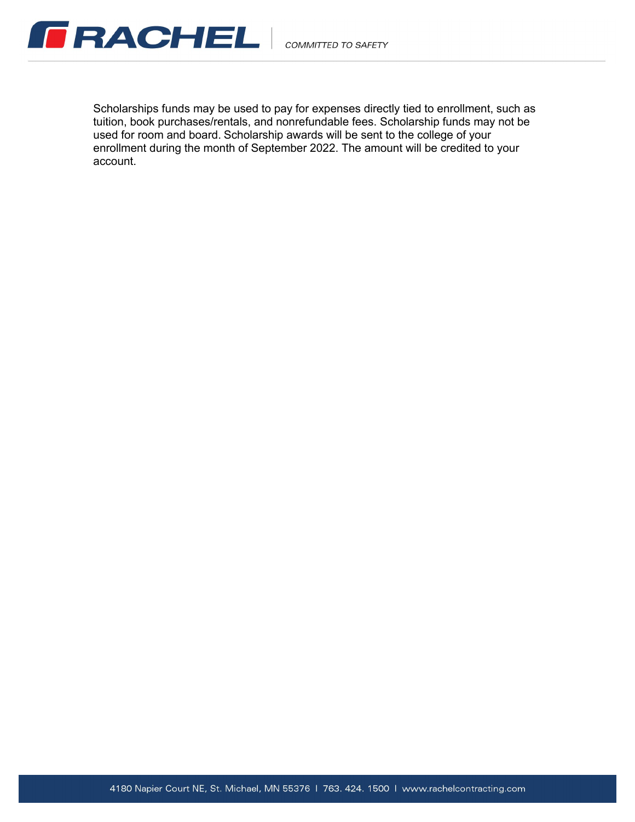

Scholarships funds may be used to pay for expenses directly tied to enrollment, such as tuition, book purchases/rentals, and nonrefundable fees. Scholarship funds may not be used for room and board. Scholarship awards will be sent to the college of your enrollment during the month of September 2022. The amount will be credited to your account.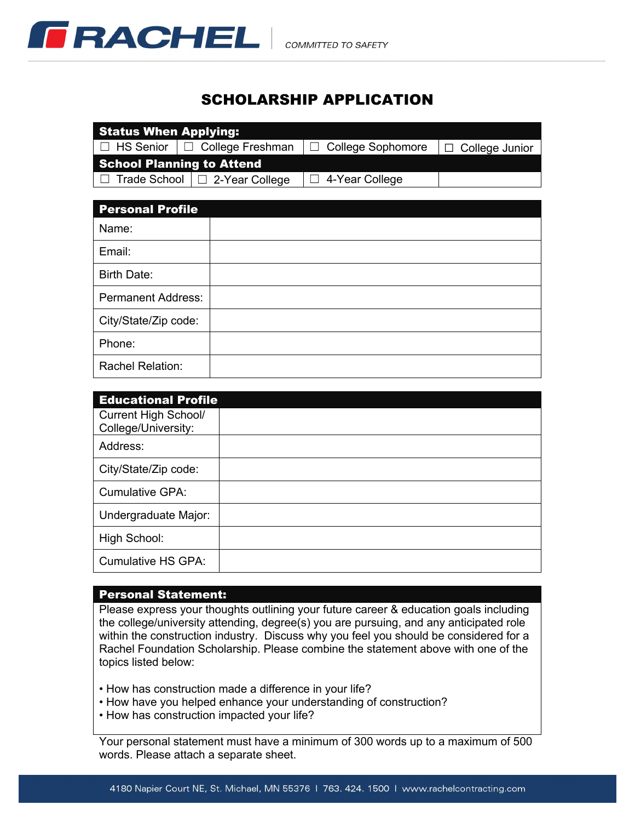

# **SCHOLARSHIP APPLICATION**

| <b>Status When Applying:</b>     |                                           |                          |                       |  |
|----------------------------------|-------------------------------------------|--------------------------|-----------------------|--|
|                                  | □ HS Senior   □ College Freshman          | $\Box$ College Sophomore | $\Box$ College Junior |  |
| <b>School Planning to Attend</b> |                                           |                          |                       |  |
|                                  | $\Box$ Trade School $\Box$ 2-Year College | $ \Box$ 4-Year College   |                       |  |

| <b>Personal Profile</b>   |  |
|---------------------------|--|
| Name:                     |  |
| Email:                    |  |
| <b>Birth Date:</b>        |  |
| <b>Permanent Address:</b> |  |
| City/State/Zip code:      |  |
| Phone:                    |  |
| Rachel Relation:          |  |

| <b>Educational Profile</b>                         |  |  |
|----------------------------------------------------|--|--|
| <b>Current High School/</b><br>College/University: |  |  |
| Address:                                           |  |  |
| City/State/Zip code:                               |  |  |
| <b>Cumulative GPA:</b>                             |  |  |
| Undergraduate Major:                               |  |  |
| High School:                                       |  |  |
| <b>Cumulative HS GPA:</b>                          |  |  |

### **Personal Statement:**

Please express your thoughts outlining your future career & education goals including the college/university attending, degree(s) you are pursuing, and any anticipated role within the construction industry. Discuss why you feel you should be considered for a Rachel Foundation Scholarship. Please combine the statement above with one of the topics listed below:

• How has construction made a difference in your life?

- How have you helped enhance your understanding of construction?
- How has construction impacted your life?

Your personal statement must have a minimum of 300 words up to a maximum of 500 words. Please attach a separate sheet.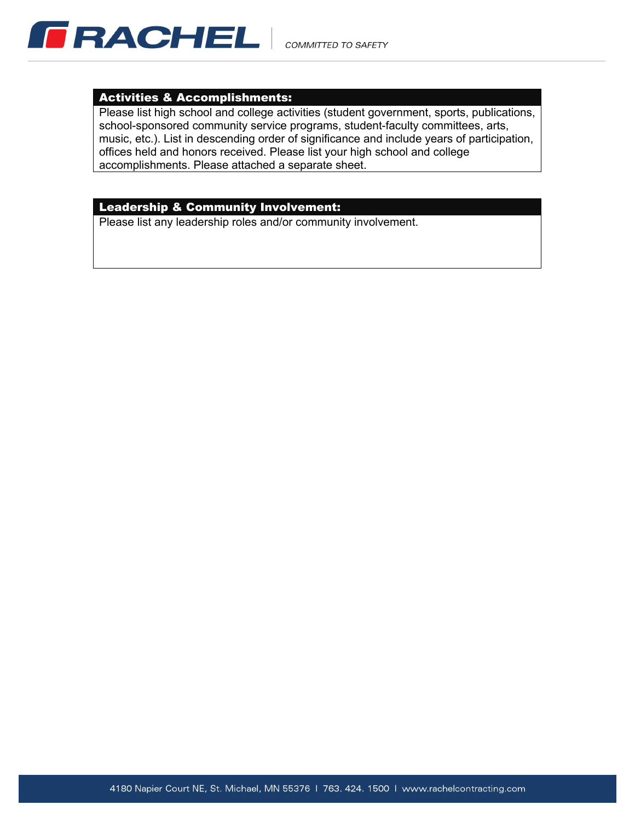

#### **Activities & Accomplishments:**

Please list high school and college activities (student government, sports, publications, school-sponsored community service programs, student-faculty committees, arts, music, etc.). List in descending order of significance and include years of participation, offices held and honors received. Please list your high school and college accomplishments. Please attached a separate sheet.

## **Leadership & Community Involvement:**

Please list any leadership roles and/or community involvement.